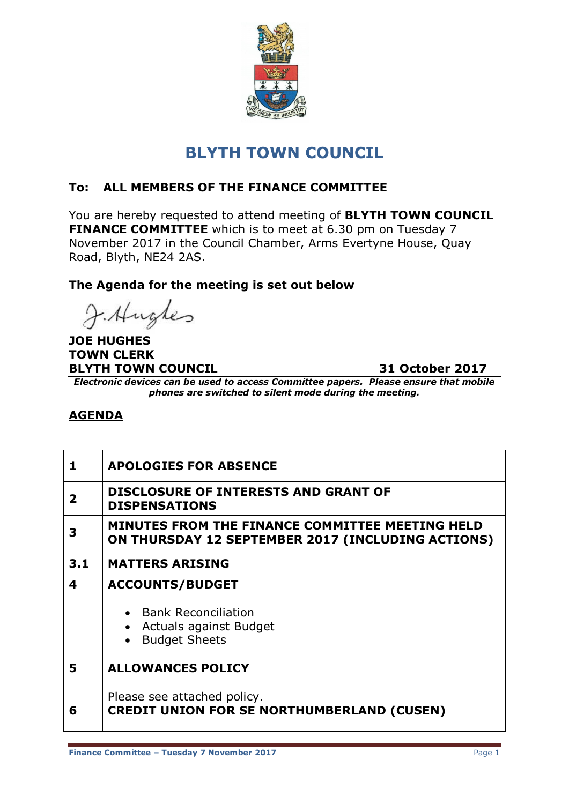

# **BLYTH TOWN COUNCIL**

## **To: ALL MEMBERS OF THE FINANCE COMMITTEE**

You are hereby requested to attend meeting of **BLYTH TOWN COUNCIL FINANCE COMMITTEE** which is to meet at 6.30 pm on Tuesday 7 November 2017 in the Council Chamber, Arms Evertyne House, Quay Road, Blyth, NE24 2AS.

#### **The Agenda for the meeting is set out below**

J. Hughes

**JOE HUGHES TOWN CLERK BLYTH TOWN COUNCIL 31 October 2017**

*Electronic devices can be used to access Committee papers. Please ensure that mobile phones are switched to silent mode during the meeting.*

### **AGENDA**

| 1.          | <b>APOLOGIES FOR ABSENCE</b>                                                                         |
|-------------|------------------------------------------------------------------------------------------------------|
| $\mathbf 2$ | DISCLOSURE OF INTERESTS AND GRANT OF<br><b>DISPENSATIONS</b>                                         |
| З           | MINUTES FROM THE FINANCE COMMITTEE MEETING HELD<br>ON THURSDAY 12 SEPTEMBER 2017 (INCLUDING ACTIONS) |
| 3.1         | <b>MATTERS ARISING</b>                                                                               |
| 4           | <b>ACCOUNTS/BUDGET</b>                                                                               |
|             | • Bank Reconciliation                                                                                |
|             | • Actuals against Budget                                                                             |
|             | • Budget Sheets                                                                                      |
| 5           | <b>ALLOWANCES POLICY</b>                                                                             |
|             |                                                                                                      |
|             | Please see attached policy.                                                                          |
| 6           | <b>CREDIT UNION FOR SE NORTHUMBERLAND (CUSEN)</b>                                                    |